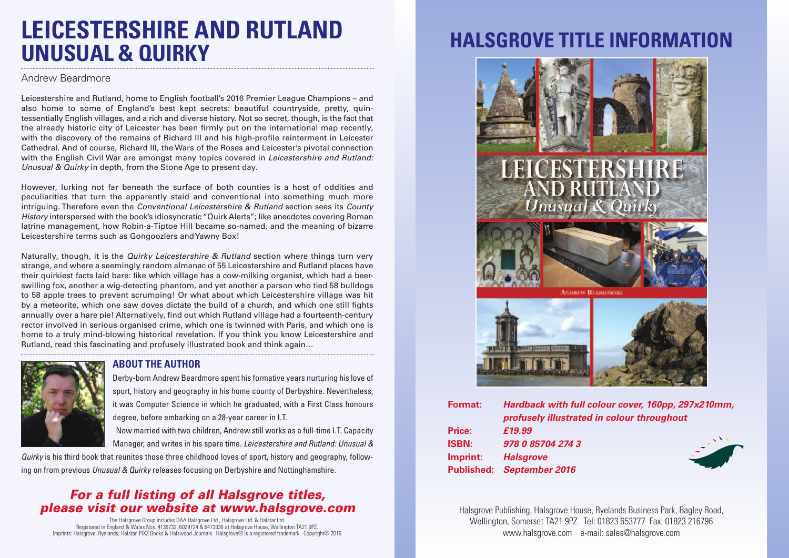## **LEICESTERSHIRE AND RUTLAND UNUSUAL & QUIRKY**

#### Andrew Beardmore

Leicestershire and Rutland, home to English football's 2016 Premier League Champions – and also home to some of England's best kept secrets: beautiful countryside, pretty, quintessentially English villages, and a rich and diverse history. Not so secret, though, is the fact that the already historic city of Leicester has been firmly put on the international map recently, with the discovery of the remains of Richard III and his high-profile reinterment in Leicester Cathedral. And of course, Richard III, the Wars of the Roses and Leicester's pivotal connection with the English Civil War are amongst many topics covered in *Leicestershire and Rutland: Unusual & Quirky* in depth, from the Stone Age to present day.

However, lurking not far beneath the surface of both counties is a host of oddities and peculiarities that turn the apparently staid and conventional into something much more intriguing. Therefore even the *Conventional Leicestershire & Rutland* section sees its *County History* interspersed with the book's idiosyncratic "Quirk Alerts"; like anecdotes covering Roman latrine management, how Robin-a-Tiptoe Hill became so-named, and the meaning of bizarre Leicestershire terms such as Gongoozlers andYawny Box!

Naturally, though, it is the *Quirky Leicestershire & Rutland* section where things turn very strange, and where a seemingly random almanac of 55 Leicestershire and Rutland places have their quirkiest facts laid bare: like which village has a cow-milking organist, which had a beerswilling fox, another a wig-detecting phantom, and yet another a parson who tied 58 bulldogs to 58 apple trees to prevent scrumping! Or what about which Leicestershire village was hit by a meteorite, which one saw doves dictate the build of a church, and which one still fights annually over a hare pie! Alternatively, find out which Rutland village had a fourteenth-century rector involved in serious organised crime, which one is twinned with Paris, and which one is home to a truly mind-blowing historical revelation. If you think you know Leicestershire and Rutland, read this fascinating and profusely illustrated book and think again…

#### **ABOUT THE AUTHOR**

Derby-born Andrew Beardmore spent his formative years nurturing his love of sport, history and geography in his home county of Derbyshire. Nevertheless, it was Computer Science in which he graduated, with a First Class honours degree, before embarking on a 28-year career in I.T.

Now married with two children, Andrew still works as a full-time I.T. Capacity Manager, and writes in his spare time. *Leicestershire and Rutland: Unusual &*

*Quirky* is his third book that reunites those three childhood loves of sport, history and geography, following on from previous *Unusual & Quirky* releases focusing on Derbyshire and Nottinghamshire.

### *For a full listing of all Halsgrove titles, please visit our website at www.halsgrove.com*

The Halsgrove Group includes DAA Halsgrove Ltd., Halsgrove Ltd. & Halstar Ltd. Registered in England & Wales Nos. 4136732, 6029724 & 6472636 at Halsgrove House, Wellington TA21 9PZ. Imprints: Halsgrove, Ryelands, Halstar, PiXZ Books & Halswood Journals. Halsgrove® is a registered trademark. Copyright© 2016

# **HALSGROVE TITLE INFORMATION**



Halsgrove Publishing, Halsgrove House, Ryelands Business Park, Bagley Road, Wellington, Somerset TA21 9PZ Tel: 01823 653777 Fax: 01823 216796 www.halsgrove.com e-mail: sales@halsgrove.com